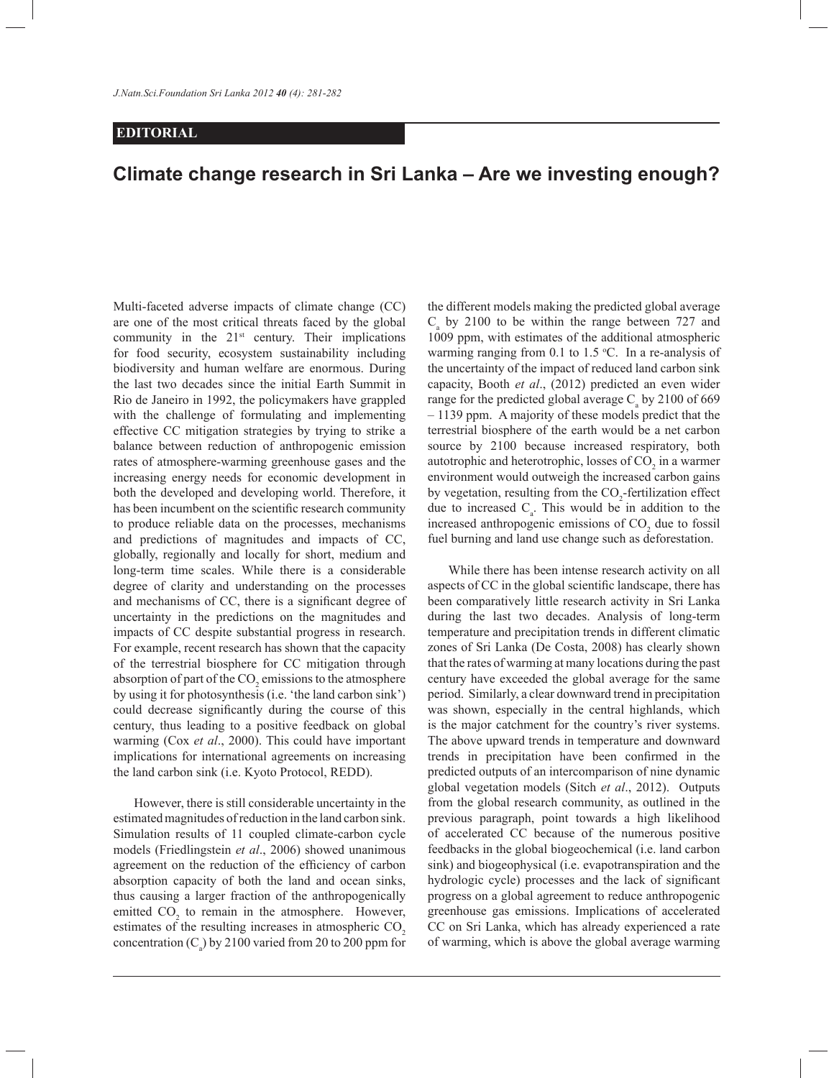## **EDITORIAL**

## **Climate change research in Sri Lanka – Are we investing enough?**

Multi-faceted adverse impacts of climate change (CC) are one of the most critical threats faced by the global community in the  $21<sup>st</sup>$  century. Their implications for food security, ecosystem sustainability including biodiversity and human welfare are enormous. During the last two decades since the initial Earth Summit in Rio de Janeiro in 1992, the policymakers have grappled with the challenge of formulating and implementing effective CC mitigation strategies by trying to strike a balance between reduction of anthropogenic emission rates of atmosphere-warming greenhouse gases and the increasing energy needs for economic development in both the developed and developing world. Therefore, it has been incumbent on the scientific research community to produce reliable data on the processes, mechanisms and predictions of magnitudes and impacts of CC, globally, regionally and locally for short, medium and long-term time scales. While there is a considerable degree of clarity and understanding on the processes and mechanisms of CC, there is a significant degree of uncertainty in the predictions on the magnitudes and impacts of CC despite substantial progress in research. For example, recent research has shown that the capacity of the terrestrial biosphere for CC mitigation through absorption of part of the  $\mathrm{CO}_2$  emissions to the atmosphere by using it for photosynthesis (i.e. 'the land carbon sink') could decrease significantly during the course of this century, thus leading to a positive feedback on global warming (Cox *et al*., 2000). This could have important implications for international agreements on increasing the land carbon sink (i.e. Kyoto Protocol, REDD).

 However, there is still considerable uncertainty in the estimated magnitudes of reduction in the land carbon sink. Simulation results of 11 coupled climate-carbon cycle models (Friedlingstein *et al*., 2006) showed unanimous agreement on the reduction of the efficiency of carbon absorption capacity of both the land and ocean sinks, thus causing a larger fraction of the anthropogenically emitted  $CO<sub>2</sub>$  to remain in the atmosphere. However, estimates of the resulting increases in atmospheric CO<sub>2</sub> concentration  $(C_a)$  by 2100 varied from 20 to 200 ppm for the different models making the predicted global average  $C_a$  by 2100 to be within the range between 727 and 1009 ppm, with estimates of the additional atmospheric warming ranging from 0.1 to 1.5  $°C$ . In a re-analysis of the uncertainty of the impact of reduced land carbon sink capacity, Booth *et al*., (2012) predicted an even wider range for the predicted global average  $C_a$  by 2100 of 669 – 1139 ppm. A majority of these models predict that the terrestrial biosphere of the earth would be a net carbon source by 2100 because increased respiratory, both autotrophic and heterotrophic, losses of  $CO<sub>2</sub>$  in a warmer environment would outweigh the increased carbon gains by vegetation, resulting from the  $CO_2$ -fertilization effect due to increased  $C_a$ . This would be in addition to the increased anthropogenic emissions of  $CO<sub>2</sub>$  due to fossil fuel burning and land use change such as deforestation.

 While there has been intense research activity on all aspects of CC in the global scientific landscape, there has been comparatively little research activity in Sri Lanka during the last two decades. Analysis of long-term temperature and precipitation trends in different climatic zones of Sri Lanka (De Costa, 2008) has clearly shown that the rates of warming at many locations during the past century have exceeded the global average for the same period. Similarly, a clear downward trend in precipitation was shown, especially in the central highlands, which is the major catchment for the country's river systems. The above upward trends in temperature and downward trends in precipitation have been confirmed in the predicted outputs of an intercomparison of nine dynamic global vegetation models (Sitch *et al*., 2012). Outputs from the global research community, as outlined in the previous paragraph, point towards a high likelihood of accelerated CC because of the numerous positive feedbacks in the global biogeochemical (i.e. land carbon sink) and biogeophysical (i.e. evapotranspiration and the hydrologic cycle) processes and the lack of significant progress on a global agreement to reduce anthropogenic greenhouse gas emissions. Implications of accelerated CC on Sri Lanka, which has already experienced a rate of warming, which is above the global average warming